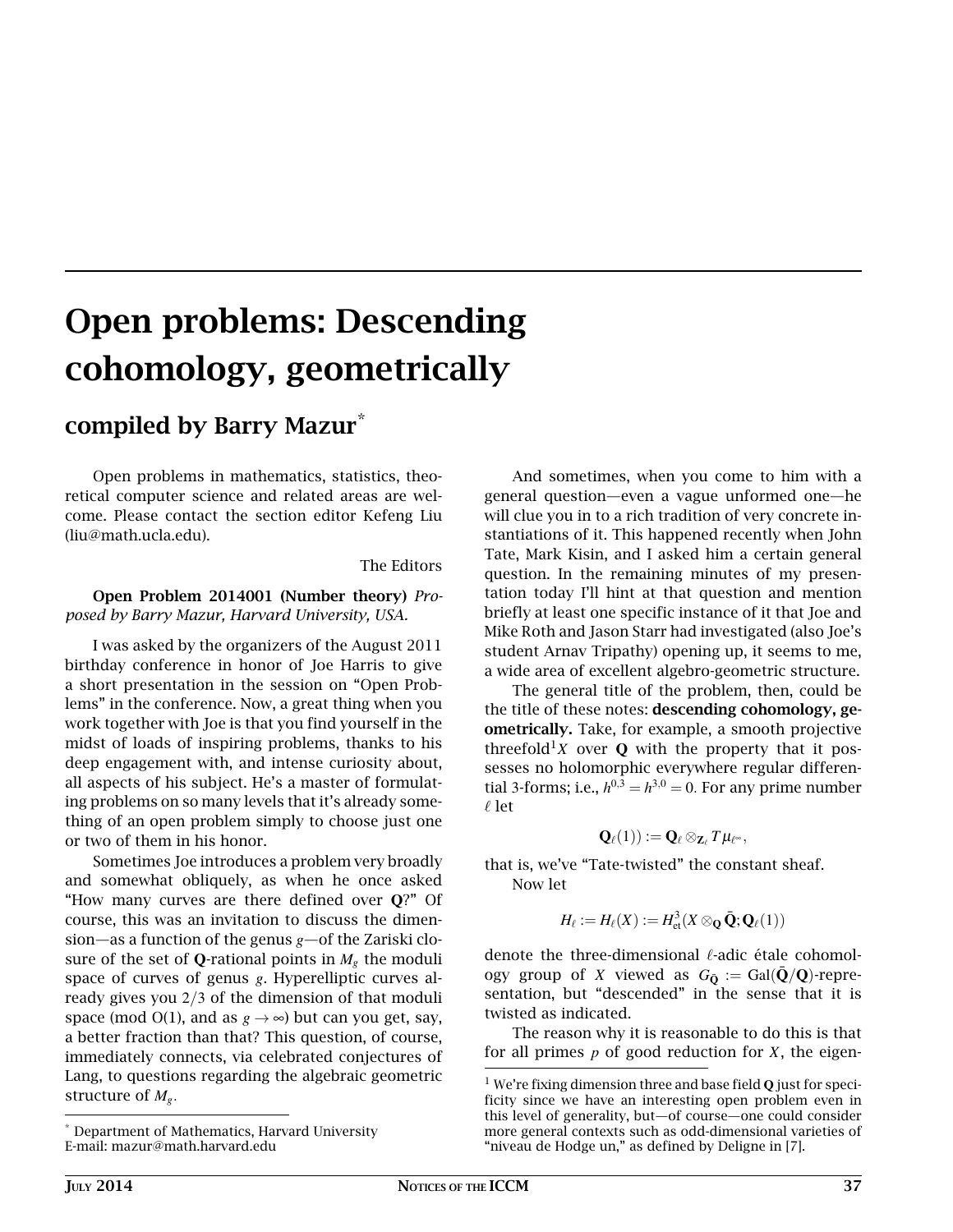## Open problems: Descending cohomology, geometrically

## compiled by Barry Mazur\*

Open problems in mathematics, statistics, theoretical computer science and related areas are welcome. Please contact the section editor Kefeng Liu (liu@math.ucla.edu).

The Editors

## Open Problem 2014001 (Number theory) *Proposed by Barry Mazur, Harvard University, USA.*

I was asked by the organizers of the August 2011 birthday conference in honor of Joe Harris to give a short presentation in the session on "Open Problems" in the conference. Now, a great thing when you work together with Joe is that you find yourself in the midst of loads of inspiring problems, thanks to his deep engagement with, and intense curiosity about, all aspects of his subject. He's a master of formulating problems on so many levels that it's already something of an open problem simply to choose just one or two of them in his honor.

Sometimes Joe introduces a problem very broadly and somewhat obliquely, as when he once asked "How many curves are there defined over **Q**?" Of course, this was an invitation to discuss the dimension—as a function of the genus *g*—of the Zariski closure of the set of **Q**-rational points in  $M_g$  the moduli space of curves of genus *g*. Hyperelliptic curves already gives you 2/3 of the dimension of that moduli space (mod O(1), and as  $g \rightarrow \infty$ ) but can you get, say, a better fraction than that? This question, of course, immediately connects, via celebrated conjectures of Lang, to questions regarding the algebraic geometric structure of *Mg*.

And sometimes, when you come to him with a general question—even a vague unformed one—he will clue you in to a rich tradition of very concrete instantiations of it. This happened recently when John Tate, Mark Kisin, and I asked him a certain general question. In the remaining minutes of my presentation today I'll hint at that question and mention briefly at least one specific instance of it that Joe and Mike Roth and Jason Starr had investigated (also Joe's student Arnav Tripathy) opening up, it seems to me, a wide area of excellent algebro-geometric structure.

The general title of the problem, then, could be the title of these notes: descending cohomology, geometrically. Take, for example, a smooth projective threefold<sup>1</sup>*X* over **Q** with the property that it possesses no holomorphic everywhere regular differential 3-forms; i.e.,  $h^{0,3} = h^{3,0} = 0$ . For any prime number  $\ell$  let

$$
\mathbf{Q}_{\ell}(1)):=\mathbf{Q}_{\ell}\otimes_{\mathbf{Z}_{\ell}}T\mu_{\ell^{\infty}},
$$

that is, we've "Tate-twisted" the constant sheaf. Now let

$$
H_{\ell} := H_{\ell}(X) := H^3_{\text{et}}(X \otimes_{\mathbf{Q}} \bar{\mathbf{Q}}; \mathbf{Q}_{\ell}(1))
$$

denote the three-dimensional  $\ell$ -adic étale cohomology group of *X* viewed as  $G_{\bar{Q}} := \text{Gal}(\bar{Q}/Q)$ -representation, but "descended" in the sense that it is twisted as indicated.

The reason why it is reasonable to do this is that for all primes *p* of good reduction for *X*, the eigen-

<sup>\*</sup> Department of Mathematics, Harvard University E-mail: mazur@math.harvard.edu

<sup>1</sup> We're fixing dimension three and base field **Q** just for specificity since we have an interesting open problem even in this level of generality, but—of course—one could consider more general contexts such as odd-dimensional varieties of "niveau de Hodge un," as defined by Deligne in [7].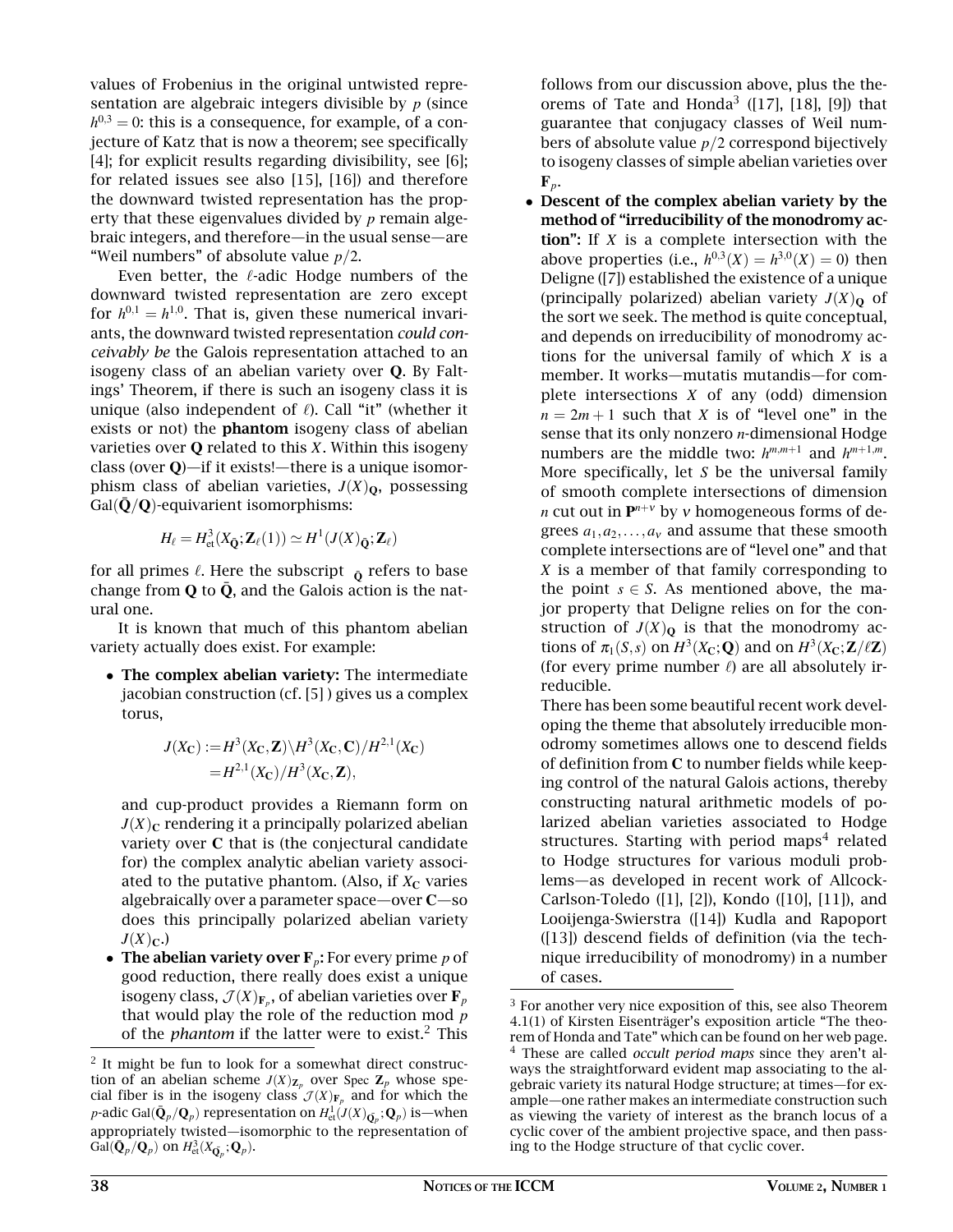values of Frobenius in the original untwisted representation are algebraic integers divisible by *p* (since  $h^{0,3}=0$ : this is a consequence, for example, of a conjecture of Katz that is now a theorem; see specifically [4]; for explicit results regarding divisibility, see [6]; for related issues see also [15], [16]) and therefore the downward twisted representation has the property that these eigenvalues divided by *p* remain algebraic integers, and therefore—in the usual sense—are "Weil numbers" of absolute value *p*/2.

Even better, the  $\ell$ -adic Hodge numbers of the downward twisted representation are zero except for  $h^{0,1} = h^{1,0}$ . That is, given these numerical invariants, the downward twisted representation *could conceivably be* the Galois representation attached to an isogeny class of an abelian variety over **Q**. By Faltings' Theorem, if there is such an isogeny class it is unique (also independent of  $\ell$ ). Call "it" (whether it exists or not) the phantom isogeny class of abelian varieties over **Q** related to this *X*. Within this isogeny class (over **Q**)—if it exists!—there is a unique isomorphism class of abelian varieties,  $J(X)_{\mathbf{0}}$ , possessing Gal $(\bar{\mathbf{Q}}/\mathbf{Q})$ -equivarient isomorphisms:

$$
H_{\ell} = H_{\mathrm{et}}^3(X_{\bar{\mathbf{Q}}}; \mathbf{Z}_{\ell}(1)) \simeq H^1(J(X)_{\bar{\mathbf{Q}}}; \mathbf{Z}_{\ell})
$$

for all primes  $\ell$ . Here the subscript  $\bar{Q}$  refers to base change from  $Q$  to  $\bar{Q}$ , and the Galois action is the natural one.

It is known that much of this phantom abelian variety actually does exist. For example:

• The complex abelian variety: The intermediate jacobian construction (cf. [5] ) gives us a complex torus,

$$
J(X_{\mathbf{C}}) := H^3(X_{\mathbf{C}}, \mathbf{Z}) \backslash H^3(X_{\mathbf{C}}, \mathbf{C}) / H^{2,1}(X_{\mathbf{C}})
$$
  
=  $H^{2,1}(X_{\mathbf{C}}) / H^3(X_{\mathbf{C}}, \mathbf{Z}),$ 

and cup-product provides a Riemann form on  $J(X)_{\mathbb{C}}$  rendering it a principally polarized abelian variety over **C** that is (the conjectural candidate for) the complex analytic abelian variety associated to the putative phantom. (Also, if  $X<sub>C</sub>$  varies algebraically over a parameter space—over **C**—so does this principally polarized abelian variety  $J(X)_{\mathbb{C}}$ .)

• The abelian variety over  $\mathbf{F}_p$ : For every prime  $p$  of good reduction, there really does exist a unique isogeny class,  $\mathcal{J}(X)_{\mathbf{F}_p},$  of abelian varieties over  $\mathbf{F}_p$ that would play the role of the reduction mod *p* of the *phantom* if the latter were to exist.<sup>2</sup> This follows from our discussion above, plus the theorems of Tate and Honda<sup>3</sup> ([17], [18], [9]) that guarantee that conjugacy classes of Weil numbers of absolute value *p*/2 correspond bijectively to isogeny classes of simple abelian varieties over  $\mathbf{F}_p$ .

• Descent of the complex abelian variety by the method of "irreducibility of the monodromy action": If *X* is a complete intersection with the above properties (i.e.,  $h^{0,3}(X) = h^{3,0}(X) = 0$ ) then Deligne ([7]) established the existence of a unique (principally polarized) abelian variety  $J(X)_{\mathbf{0}}$  of the sort we seek. The method is quite conceptual, and depends on irreducibility of monodromy actions for the universal family of which *X* is a member. It works—mutatis mutandis—for complete intersections *X* of any (odd) dimension  $n = 2m + 1$  such that *X* is of "level one" in the sense that its only nonzero *n*-dimensional Hodge numbers are the middle two:  $h^{m,m+1}$  and  $h^{m+1,m}$ . More specifically, let *S* be the universal family of smooth complete intersections of dimension *n* cut out in **P** *<sup>n</sup>*+<sup>ν</sup> by <sup>ν</sup> homogeneous forms of degrees  $a_1, a_2, \ldots, a_v$  and assume that these smooth complete intersections are of "level one" and that *X* is a member of that family corresponding to the point  $s \in S$ . As mentioned above, the major property that Deligne relies on for the construction of  $J(X)_{\mathbf{Q}}$  is that the monodromy actions of  $\pi_1(S, s)$  on  $H^3(X_\mathbf{C}; \mathbf{Q})$  and on  $H^3(X_\mathbf{C}; \mathbf{Z}/\ell\mathbf{Z})$ (for every prime number  $\ell$ ) are all absolutely irreducible.

There has been some beautiful recent work developing the theme that absolutely irreducible monodromy sometimes allows one to descend fields of definition from **C** to number fields while keeping control of the natural Galois actions, thereby constructing natural arithmetic models of polarized abelian varieties associated to Hodge structures. Starting with period maps $^4$  related to Hodge structures for various moduli problems—as developed in recent work of Allcock-Carlson-Toledo ([1], [2]), Kondo ([10], [11]), and Looijenga-Swierstra ([14]) Kudla and Rapoport ([13]) descend fields of definition (via the technique irreducibility of monodromy) in a number of cases.

<sup>&</sup>lt;sup>2</sup> It might be fun to look for a somewhat direct construction of an abelian scheme  $J(X)_{\mathbf{Z}_p}$  over Spec  $\mathbf{Z}_p$  whose special fiber is in the isogeny class  $\mathcal{J}(X)_{\mathbf{F}_p}$  and for which the  $p$ -adic Gal( $\bar{\mathbf{Q}}_p/\mathbf{Q}_p$ ) representation on  $H^1_{\text{\rm et}}(J(X)_{\bar{\mathbf{Q}}_p}; \mathbf{Q}_p)$  is—when appropriately twisted—isomorphic to the representation of  $Gal(\bar{\mathbf{Q}}_p/\mathbf{Q}_p)$  on  $H^3_{\text{et}}(X_{\bar{\mathbf{Q}}_p}; \mathbf{Q}_p)$ .

<sup>&</sup>lt;sup>3</sup> For another very nice exposition of this, see also Theorem 4.1(1) of Kirsten Eisenträger's exposition article "The theorem of Honda and Tate" which can be found on her web page. <sup>4</sup> These are called *occult period maps* since they aren't always the straightforward evident map associating to the algebraic variety its natural Hodge structure; at times—for example—one rather makes an intermediate construction such as viewing the variety of interest as the branch locus of a cyclic cover of the ambient projective space, and then passing to the Hodge structure of that cyclic cover.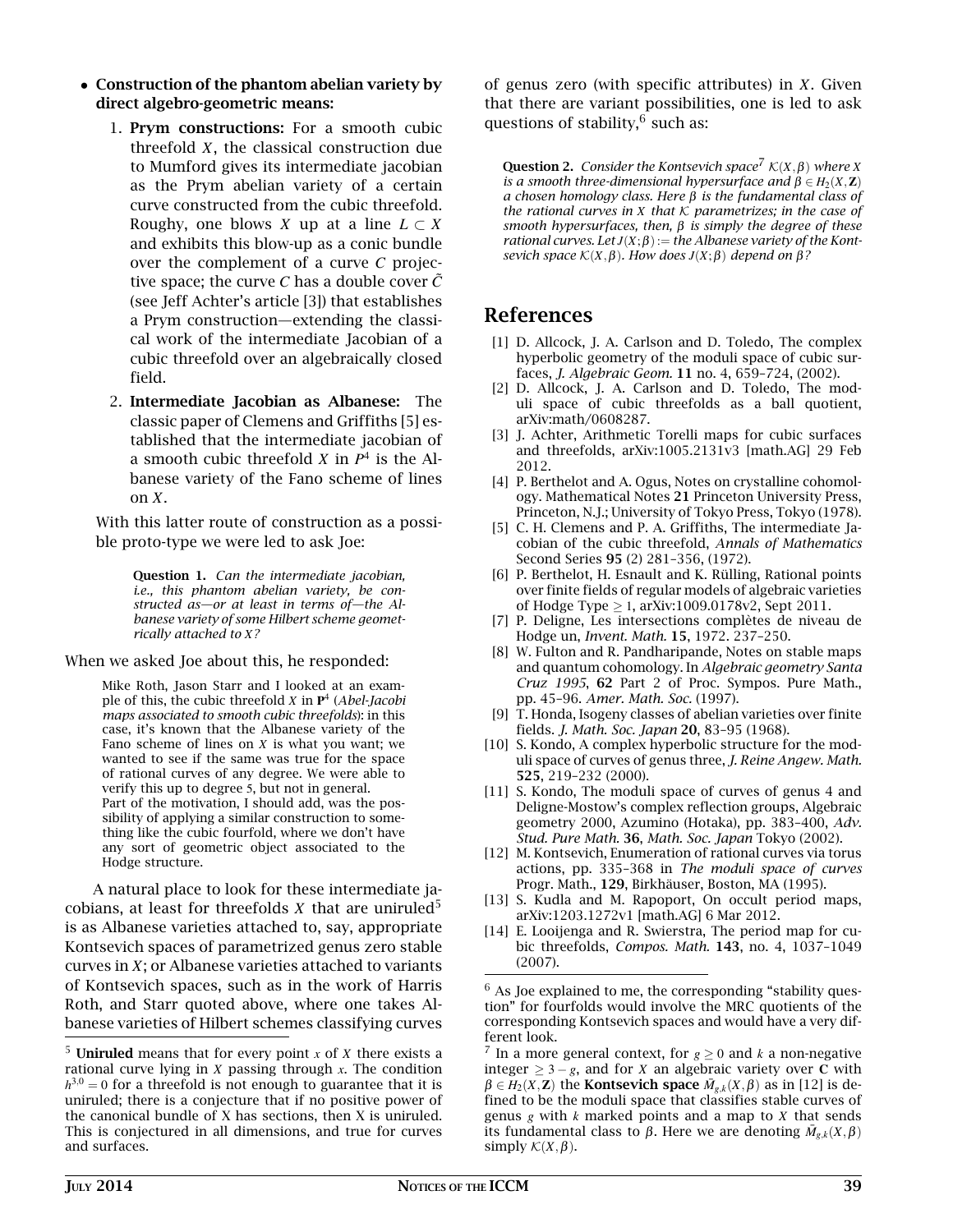- Construction of the phantom abelian variety by direct algebro-geometric means:
	- 1. Prym constructions: For a smooth cubic threefold *X*, the classical construction due to Mumford gives its intermediate jacobian as the Prym abelian variety of a certain curve constructed from the cubic threefold. Roughy, one blows *X* up at a line  $L \subset X$ and exhibits this blow-up as a conic bundle over the complement of a curve *C* projective space; the curve  $C$  has a double cover  $\tilde{C}$ (see Jeff Achter's article [3]) that establishes a Prym construction—extending the classical work of the intermediate Jacobian of a cubic threefold over an algebraically closed field.
	- 2. Intermediate Jacobian as Albanese: The classic paper of Clemens and Griffiths [5] established that the intermediate jacobian of a smooth cubic threefold  $X$  in  $P^4$  is the Albanese variety of the Fano scheme of lines on *X*.

With this latter route of construction as a possible proto-type we were led to ask Joe:

> Question 1. *Can the intermediate jacobian, i.e., this phantom abelian variety, be constructed as—or at least in terms of—the Albanese variety of some Hilbert scheme geometrically attached to X?*

When we asked Joe about this, he responded:

Mike Roth, Jason Starr and I looked at an example of this, the cubic threefold *X* in **P** 4 (*Abel-Jacobi maps associated to smooth cubic threefolds*): in this case, it's known that the Albanese variety of the Fano scheme of lines on *X* is what you want; we wanted to see if the same was true for the space of rational curves of any degree. We were able to verify this up to degree 5, but not in general. Part of the motivation, I should add, was the possibility of applying a similar construction to something like the cubic fourfold, where we don't have any sort of geometric object associated to the Hodge structure.

A natural place to look for these intermediate jacobians, at least for threefolds  $X$  that are uniruled<sup>5</sup> is as Albanese varieties attached to, say, appropriate Kontsevich spaces of parametrized genus zero stable curves in *X*; or Albanese varieties attached to variants of Kontsevich spaces, such as in the work of Harris Roth, and Starr quoted above, where one takes Albanese varieties of Hilbert schemes classifying curves

of genus zero (with specific attributes) in *X*. Given that there are variant possibilities, one is led to ask questions of stability, $^6$  such as:

**Question 2.** *Consider the Kontsevich space*<sup>7</sup>  $\mathcal{K}(X,\beta)$  *where X is a smooth three-dimensional hypersurface and*  $\hat{\beta} \in H_2(X, \mathbb{Z})$ *a chosen homology class. Here* β *is the fundamental class of the rational curves in X that* K *parametrizes; in the case of smooth hypersurfaces, then,* β *is simply the degree of these rational curves.* Let  $J(X; \beta) :=$  *the Albanese variety of the Kontsevich space*  $K(X, β)$ *. How does*  $J(X, β)$  *depend on*  $β$ ?

## References

- [1] D. Allcock, J. A. Carlson and D. Toledo, The complex hyperbolic geometry of the moduli space of cubic surfaces, *J. Algebraic Geom.* 11 no. 4, 659–724, (2002).
- [2] D. Allcock, J. A. Carlson and D. Toledo, The moduli space of cubic threefolds as a ball quotient, arXiv:math/0608287.
- [3] J. Achter, Arithmetic Torelli maps for cubic surfaces and threefolds, arXiv:1005.2131v3 [math.AG] 29 Feb 2012.
- [4] P. Berthelot and A. Ogus, Notes on crystalline cohomology. Mathematical Notes 21 Princeton University Press, Princeton, N.J.; University of Tokyo Press, Tokyo (1978).
- [5] C. H. Clemens and P. A. Griffiths, The intermediate Jacobian of the cubic threefold, *Annals of Mathematics* Second Series 95 (2) 281–356, (1972).
- [6] P. Berthelot, H. Esnault and K. Rülling, Rational points over finite fields of regular models of algebraic varieties of Hodge Type ≥ 1, arXiv:1009.0178v2, Sept 2011.
- [7] P. Deligne, Les intersections complètes de niveau de Hodge un, *Invent. Math.* 15, 1972. 237–250.
- [8] W. Fulton and R. Pandharipande, Notes on stable maps and quantum cohomology. In *Algebraic geometry Santa Cruz 1995*, 62 Part 2 of Proc. Sympos. Pure Math., pp. 45–96. *Amer. Math. Soc.* (1997).
- [9] T. Honda, Isogeny classes of abelian varieties over finite fields. *J. Math. Soc. Japan* 20, 83–95 (1968).
- [10] S. Kondo, A complex hyperbolic structure for the moduli space of curves of genus three, *J. Reine Angew. Math.* 525, 219–232 (2000).
- [11] S. Kondo, The moduli space of curves of genus 4 and Deligne-Mostow's complex reflection groups, Algebraic geometry 2000, Azumino (Hotaka), pp. 383–400, *Adv. Stud. Pure Math.* 36, *Math. Soc. Japan* Tokyo (2002).
- [12] M. Kontsevich, Enumeration of rational curves via torus actions, pp. 335–368 in *The moduli space of curves* Progr. Math., 129, Birkhäuser, Boston, MA (1995).
- [13] S. Kudla and M. Rapoport, On occult period maps, arXiv:1203.1272v1 [math.AG] 6 Mar 2012.
- [14] E. Looijenga and R. Swierstra, The period map for cubic threefolds, *Compos. Math.* 143, no. 4, 1037–1049 (2007).

 $6$  As Joe explained to me, the corresponding "stability question" for fourfolds would involve the MRC quotients of the corresponding Kontsevich spaces and would have a very different look.

<sup>7</sup> In a more general context, for  $g \ge 0$  and  $k$  a non-negative integer ≥ 3 − *g*, and for *X* an algebraic variety over **C** with  $\beta \in H_2(X, \mathbb{Z})$  the **Kontsevich space**  $\overline{M}_{g,k}(X, \beta)$  as in [12] is defined to be the moduli space that classifies stable curves of genus *g* with *k* marked points and a map to *X* that sends its fundamental class to  $\beta$ . Here we are denoting  $\bar{M}_{g,k}(X,\beta)$ simply  $\mathcal{K}(X,\beta)$ .

<sup>5</sup> Uniruled means that for every point *x* of *X* there exists a rational curve lying in *X* passing through *x*. The condition  $h^{3,0} = 0$  for a threefold is not enough to guarantee that it is uniruled; there is a conjecture that if no positive power of the canonical bundle of X has sections, then X is uniruled. This is conjectured in all dimensions, and true for curves and surfaces.